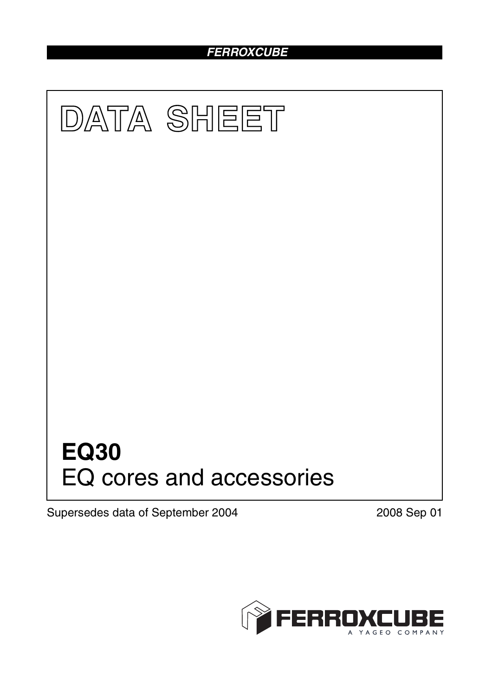# *FERROXCUBE*



Supersedes data of September 2004 2008 Sep 01

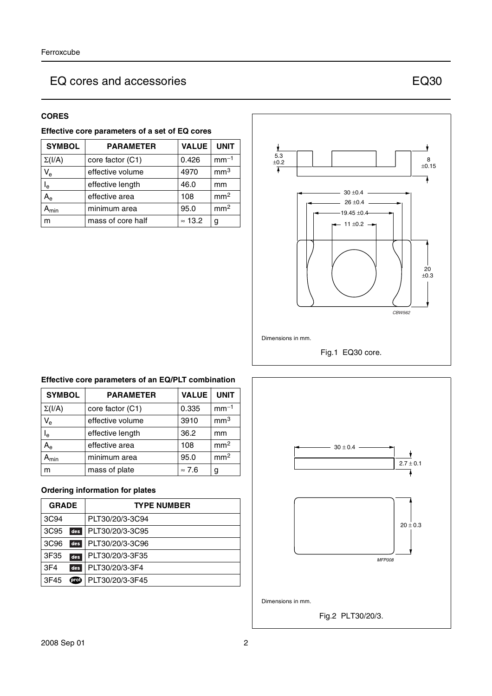### **CORES**

| Effective core parameters of a set of EQ cores |                   |                |                 |  |
|------------------------------------------------|-------------------|----------------|-----------------|--|
| <b>SYMBOL</b>                                  | <b>PARAMETER</b>  | <b>VALUE</b>   | <b>UNIT</b>     |  |
| $\Sigma(I/A)$                                  | core factor (C1)  | 0.426          | $mm-1$          |  |
| $\mathsf{V}_{\mathsf{e}}$                      | effective volume  | 4970           | mm <sup>3</sup> |  |
| l <sub>e</sub>                                 | effective length  | 46.0           | mm              |  |
| $A_{e}$                                        | effective area    | 108            | mm <sup>2</sup> |  |
| $A_{min}$                                      | minimum area      | 95.0           | mm <sup>2</sup> |  |
| m                                              | mass of core half | $\approx$ 13.2 | g               |  |



### **Effective core parameters of an EQ/PLT combination**

| <b>SYMBOL</b>               | <b>PARAMETER</b> | <b>VALUE</b>  | <b>UNIT</b>     |
|-----------------------------|------------------|---------------|-----------------|
| $\Sigma(I/A)$               | core factor (C1) | 0.335         | $mm-1$          |
| $V_{\rm e}$                 | effective volume | 3910          | mm <sup>3</sup> |
| $I_e$                       | effective length | 36.2          | mm              |
| A <sub>e</sub>              | effective area   | 108           | mm <sup>2</sup> |
| $\mathsf{A}_{\mathsf{min}}$ | minimum area     | 95.0          | mm <sup>2</sup> |
| m                           | mass of plate    | $\approx 7.6$ | g               |

## **Ordering information for plates**

| <b>GRADE</b>     |      | <b>TYPE NUMBER</b> |
|------------------|------|--------------------|
| 3C94             |      | PLT30/20/3-3C94    |
| 3C <sub>95</sub> | des  | PLT30/20/3-3C95    |
| 3C <sub>96</sub> | des  | PLT30/20/3-3C96    |
| 3F35             | des  | PLT30/20/3-3F35    |
| 3F <sub>4</sub>  | des  | PLT30/20/3-3F4     |
| 3F45             | prot | PLT30/20/3-3F45    |

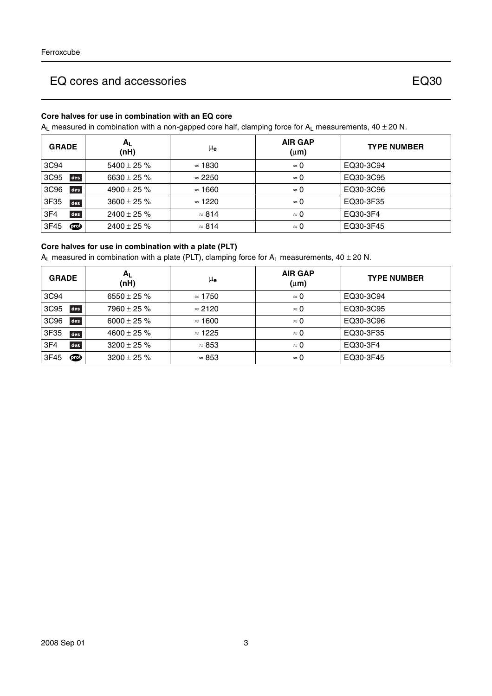## **Core halves for use in combination with an EQ core**

 $A_L$  measured in combination with a non-gapped core half, clamping force for  $A_L$  measurements, 40  $\pm$  20 N.

| <b>GRADE</b>            | $A_{L}$<br>(nH)  | μ <sub>e</sub> | <b>AIR GAP</b><br>$(\mu m)$ | <b>TYPE NUMBER</b> |
|-------------------------|------------------|----------------|-----------------------------|--------------------|
| 3C94                    | $5400 \pm 25 \%$ | $\approx$ 1830 | $\approx 0$                 | EQ30-3C94          |
| 3C95<br>des             | 6630 ± 25 $%$    | $\approx 2250$ | $\approx 0$                 | EQ30-3C95          |
| des<br>3C <sub>96</sub> | $4900 \pm 25 \%$ | $\approx$ 1660 | $\approx 0$                 | EQ30-3C96          |
| 3F35<br>des             | $3600 \pm 25 \%$ | $\approx$ 1220 | $\approx 0$                 | EQ30-3F35          |
| des<br>3F <sub>4</sub>  | $2400 \pm 25 \%$ | $\approx 814$  | $\approx 0$                 | EQ30-3F4           |
| 3F45<br>00              | $2400 \pm 25 \%$ | $\approx 814$  | $\approx 0$                 | EQ30-3F45          |

#### **Core halves for use in combination with a plate (PLT)**

 $A_L$  measured in combination with a plate (PLT), clamping force for  $A_L$  measurements, 40 ± 20 N.

| <b>GRADE</b>            | Αı<br>(nH)       | μe             | <b>AIR GAP</b><br>$(\mu m)$ | <b>TYPE NUMBER</b> |
|-------------------------|------------------|----------------|-----------------------------|--------------------|
| 3C94                    | 6550 $\pm$ 25 %  | $\approx$ 1750 | $\approx 0$                 | EQ30-3C94          |
| 3C95<br>des             | $7960 \pm 25 \%$ | $\approx 2120$ | $\approx 0$                 | EQ30-3C95          |
| des<br>3C <sub>96</sub> | 6000 ± 25 $%$    | $\approx$ 1600 | $\approx 0$                 | EQ30-3C96          |
| 3F35<br>des             | $4600 \pm 25 \%$ | $\approx$ 1225 | $\approx 0$                 | EQ30-3F35          |
| des<br>3F <sub>4</sub>  | $3200 \pm 25 \%$ | $\approx 853$  | $\approx 0$                 | EQ30-3F4           |
| 3F45<br><b>TO</b>       | $3200 \pm 25 \%$ | $\approx 853$  | $\approx 0$                 | EQ30-3F45          |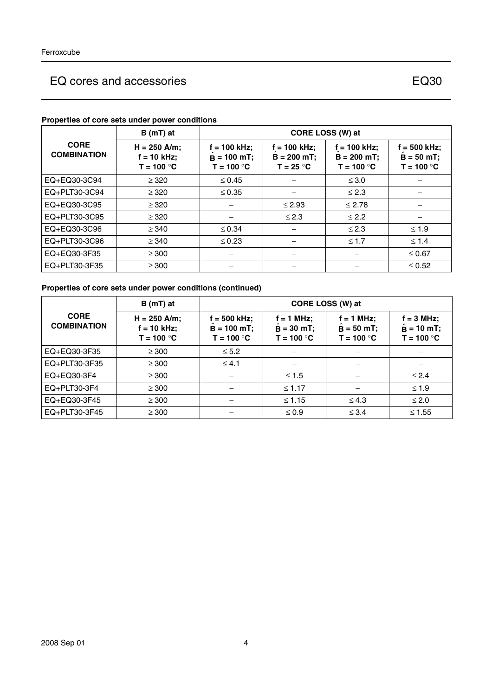|                                   | $B(mT)$ at                                      | CORE LOSS (W) at                                |                                                 |                                                 |                                                |
|-----------------------------------|-------------------------------------------------|-------------------------------------------------|-------------------------------------------------|-------------------------------------------------|------------------------------------------------|
| <b>CORE</b><br><b>COMBINATION</b> | $H = 250$ A/m;<br>$f = 10$ kHz;<br>$T = 100 °C$ | $f = 100$ kHz;<br>$B = 100$ mT;<br>$T = 100 °C$ | $f = 100$ kHz;<br>$B = 200 mT$ ;<br>$T = 25 °C$ | $f = 100$ kHz;<br>$B = 200$ mT;<br>$T = 100 °C$ | $f = 500$ kHz;<br>$B = 50$ mT;<br>$T = 100 °C$ |
| EQ+EQ30-3C94                      | $\geq$ 320                                      | $\leq 0.45$                                     |                                                 | $\leq 3.0$                                      |                                                |
| EQ+PLT30-3C94                     | $\geq$ 320                                      | $\leq 0.35$                                     |                                                 | $\leq 2.3$                                      |                                                |
| EQ+EQ30-3C95                      | $\geq$ 320                                      |                                                 | $\leq 2.93$                                     | $\leq 2.78$                                     |                                                |
| EQ+PLT30-3C95                     | $\geq$ 320                                      |                                                 | $\leq 2.3$                                      | $\leq$ 2.2                                      |                                                |
| EQ+EQ30-3C96                      | $\geq$ 340                                      | $\leq 0.34$                                     |                                                 | $\leq$ 2.3                                      | $\leq 1.9$                                     |
| EQ+PLT30-3C96                     | $\geq$ 340                                      | $\leq 0.23$                                     |                                                 | $\leq 1.7$                                      | $\leq 1.4$                                     |
| EQ+EQ30-3F35                      | $\geq$ 300                                      |                                                 |                                                 |                                                 | $\leq 0.67$                                    |
| EQ+PLT30-3F35                     | $\geq$ 300                                      |                                                 |                                                 |                                                 | $\leq 0.52$                                    |

## **Properties of core sets under power conditions**

## **Properties of core sets under power conditions (continued)**

|                                   | $B(mT)$ at                                      | CORE LOSS (W) at                               |                                              |                                              |                                                      |
|-----------------------------------|-------------------------------------------------|------------------------------------------------|----------------------------------------------|----------------------------------------------|------------------------------------------------------|
| <b>CORE</b><br><b>COMBINATION</b> | $H = 250$ A/m;<br>$f = 10$ kHz;<br>$T = 100 °C$ | f = 500 kHz;<br>$B = 100 mT$ ;<br>$T = 100 °C$ | $f = 1$ MHz;<br>$B = 30$ mT;<br>$T = 100 °C$ | $f = 1$ MHz;<br>$B = 50$ mT;<br>$T = 100 °C$ | $f = 3 MHz$ ;<br>$\ddot{B}$ = 10 mT;<br>$T = 100 °C$ |
| EQ+EQ30-3F35                      | $\geq$ 300                                      | $\leq 5.2$                                     |                                              |                                              |                                                      |
| EQ+PLT30-3F35                     | $\geq$ 300                                      | $\leq 4.1$                                     |                                              |                                              |                                                      |
| EQ+EQ30-3F4                       | $\geq$ 300                                      |                                                | $\leq 1.5$                                   |                                              | $\leq 2.4$                                           |
| $EQ+PLT30-3F4$                    | $\geq$ 300                                      |                                                | $\leq 1.17$                                  |                                              | $\leq 1.9$                                           |
| EQ+EQ30-3F45                      | $\geq$ 300                                      |                                                | $\leq 1.15$                                  | $\leq 4.3$                                   | $\leq 2.0$                                           |
| EQ+PLT30-3F45                     | $\geq$ 300                                      |                                                | $\leq 0.9$                                   | $\leq$ 3.4                                   | $≤ 1.55$                                             |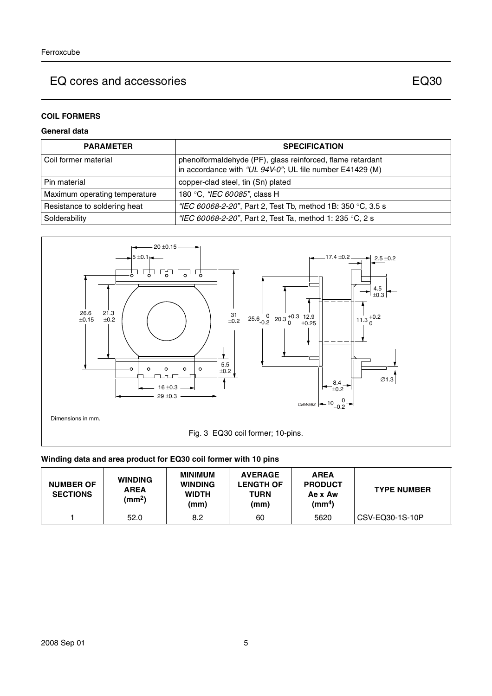## **COIL FORMERS**

## **General data**

| <b>PARAMETER</b>              | <b>SPECIFICATION</b>                                                                                                   |
|-------------------------------|------------------------------------------------------------------------------------------------------------------------|
| Coil former material          | phenolformaldehyde (PF), glass reinforced, flame retardant<br>in accordance with "UL 94V-0"; UL file number E41429 (M) |
| Pin material                  | copper-clad steel, tin (Sn) plated                                                                                     |
| Maximum operating temperature | 180 °C, "IEC 60085", class H                                                                                           |
| Resistance to soldering heat  | "IEC 60068-2-20", Part 2, Test Tb, method 1B: 350 °C, 3.5 s                                                            |
| Solderability                 | "IEC 60068-2-20", Part 2, Test Ta, method 1: 235 °C, 2 s                                                               |



#### **Winding data and area product for EQ30 coil former with 10 pins**

| <b>NUMBER OF</b><br><b>SECTIONS</b> | <b>WINDING</b><br><b>AREA</b><br>(mm <sup>2</sup> ) | <b>MINIMUM</b><br><b>WINDING</b><br><b>WIDTH</b><br>(mm) | <b>AVERAGE</b><br><b>LENGTH OF</b><br>TURN<br>(mm) | <b>AREA</b><br><b>PRODUCT</b><br>Ae x Aw<br>(mm <sup>4</sup> ) | <b>TYPE NUMBER</b> |
|-------------------------------------|-----------------------------------------------------|----------------------------------------------------------|----------------------------------------------------|----------------------------------------------------------------|--------------------|
|                                     | 52.0                                                | 8.2                                                      | 60                                                 | 5620                                                           | CSV-EQ30-1S-10P    |